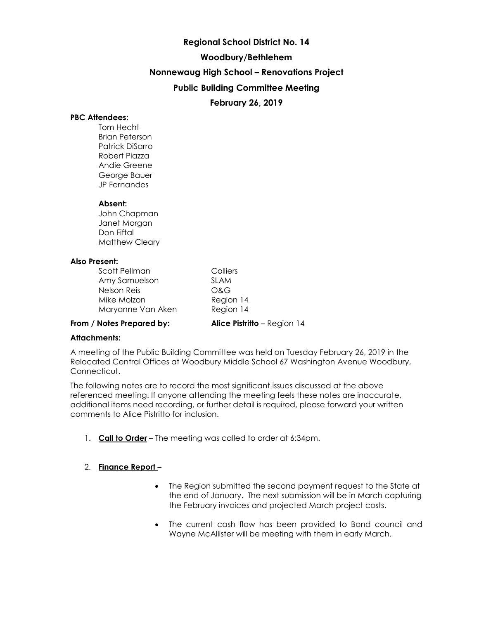# **Regional School District No. 14**

# **Woodbury/Bethlehem**

**Nonnewaug High School – Renovations Project**

**Public Building Committee Meeting**

# **February 26, 2019**

# **PBC Attendees:**

Tom Hecht Brian Peterson Patrick DiSarro Robert Piazza Andie Greene George Bauer JP Fernandes

# **Absent:**

John Chapman Janet Morgan Don Fiftal Matthew Cleary

### **Also Present:**

| Scott Pellman     |
|-------------------|
| Amy Samuelson     |
| Nelson Reis       |
| Mike Molzon       |
| Maryanne Van Aken |

Colliers SLAM O&G Region 14 Region 14

### **From / Notes Prepared by: Alice Pistritto** – Region 14

### **Attachments:**

A meeting of the Public Building Committee was held on Tuesday February 26, 2019 in the Relocated Central Offices at Woodbury Middle School 67 Washington Avenue Woodbury, Connecticut.

The following notes are to record the most significant issues discussed at the above referenced meeting. If anyone attending the meeting feels these notes are inaccurate, additional items need recording, or further detail is required, please forward your written comments to Alice Pistritto for inclusion.

1. **Call to Order** – The meeting was called to order at 6:34pm.

# 2. **Finance Report –**

- The Region submitted the second payment request to the State at the end of January. The next submission will be in March capturing the February invoices and projected March project costs.
- The current cash flow has been provided to Bond council and Wayne McAllister will be meeting with them in early March.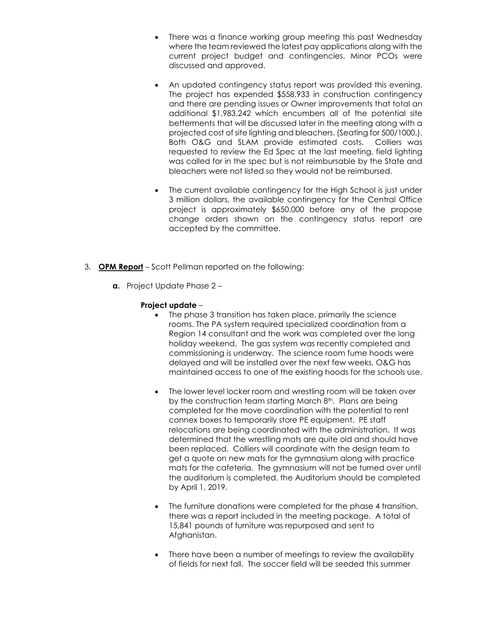- There was a finance working group meeting this past Wednesday where the team reviewed the latest pay applications along with the current project budget and contingencies. Minor PCOs were discussed and approved.
- An updated contingency status report was provided this evening. The project has expended \$558,933 in construction contingency and there are pending issues or Owner improvements that total an additional \$1,983,242 which encumbers all of the potential site betterments that will be discussed later in the meeting along with a projected cost of site lighting and bleachers. (Seating for 500/1000,). Both O&G and SLAM provide estimated costs. Colliers was requested to review the Ed Spec at the last meeting, field lighting was called for in the spec but is not reimbursable by the State and bleachers were not listed so they would not be reimbursed.
- The current available contingency for the High School is just under 3 million dollars, the available contingency for the Central Office project is approximately \$650,000 before any of the propose change orders shown on the contingency status report are accepted by the committee.
- 3. **OPM Report** Scott Pellman reported on the following:
	- **a.** Project Update Phase 2 –

# **Project update** –

- The phase 3 transition has taken place, primarily the science rooms. The PA system required specialized coordination from a Region 14 consultant and the work was completed over the long holiday weekend. The gas system was recently completed and commissioning is underway. The science room fume hoods were delayed and will be installed over the next few weeks, O&G has maintained access to one of the existing hoods for the schools use.
- The lower level locker room and wrestling room will be taken over by the construction team starting March 8<sup>th</sup>. Plans are being completed for the move coordination with the potential to rent connex boxes to temporarily store PE equipment. PE staff relocations are being coordinated with the administration. It was determined that the wrestling mats are quite old and should have been replaced. Colliers will coordinate with the design team to get a quote on new mats for the gymnasium along with practice mats for the cafeteria. The gymnasium will not be turned over until the auditorium is completed, the Auditorium should be completed by April 1, 2019.
- The furniture donations were completed for the phase 4 transition, there was a report included in the meeting package. A total of 15,841 pounds of furniture was repurposed and sent to Afghanistan.
- There have been a number of meetings to review the availability of fields for next fall. The soccer field will be seeded this summer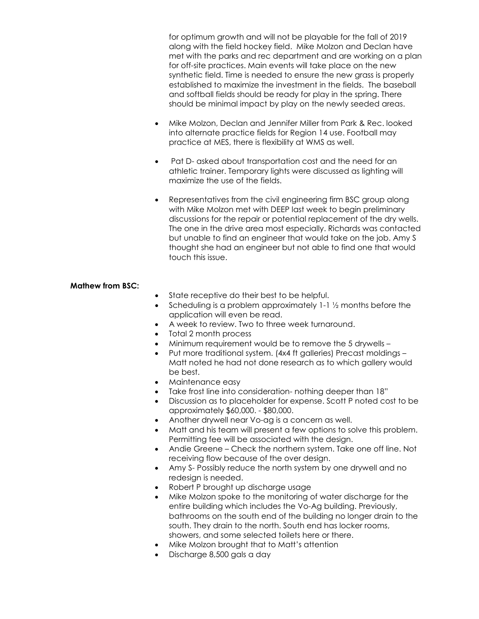for optimum growth and will not be playable for the fall of 2019 along with the field hockey field. Mike Molzon and Declan have met with the parks and rec department and are working on a plan for off-site practices. Main events will take place on the new synthetic field. Time is needed to ensure the new grass is properly established to maximize the investment in the fields. The baseball and softball fields should be ready for play in the spring. There should be minimal impact by play on the newly seeded areas.

- Mike Molzon, Declan and Jennifer Miller from Park & Rec. looked into alternate practice fields for Region 14 use. Football may practice at MES, there is flexibility at WMS as well.
- Pat D- asked about transportation cost and the need for an athletic trainer. Temporary lights were discussed as lighting will maximize the use of the fields.
- Representatives from the civil engineering firm BSC group along with Mike Molzon met with DEEP last week to begin preliminary discussions for the repair or potential replacement of the dry wells. The one in the drive area most especially. Richards was contacted but unable to find an engineer that would take on the job. Amy S thought she had an engineer but not able to find one that would touch this issue.

#### **Mathew from BSC:**

- State receptive do their best to be helpful.
- Scheduling is a problem approximately 1-1 ½ months before the application will even be read.
- A week to review. Two to three week turnaround.
- Total 2 month process
- Minimum requirement would be to remove the 5 drywells –
- Put more traditional system. (4x4 ft galleries) Precast moldings Matt noted he had not done research as to which gallery would be best.
- Maintenance easy
- Take frost line into consideration- nothing deeper than 18"
- Discussion as to placeholder for expense. Scott P noted cost to be approximately \$60,000. - \$80,000.
- Another drywell near Vo-ag is a concern as well.
- Matt and his team will present a few options to solve this problem. Permitting fee will be associated with the design.
- Andie Greene Check the northern system. Take one off line. Not receiving flow because of the over design.
- Amy S- Possibly reduce the north system by one drywell and no redesign is needed.
- Robert P brought up discharge usage
- Mike Molzon spoke to the monitoring of water discharge for the entire building which includes the Vo-Ag building. Previously, bathrooms on the south end of the building no longer drain to the south. They drain to the north. South end has locker rooms, showers, and some selected toilets here or there.
- Mike Molzon brought that to Matt's attention
- Discharge 8,500 gals a day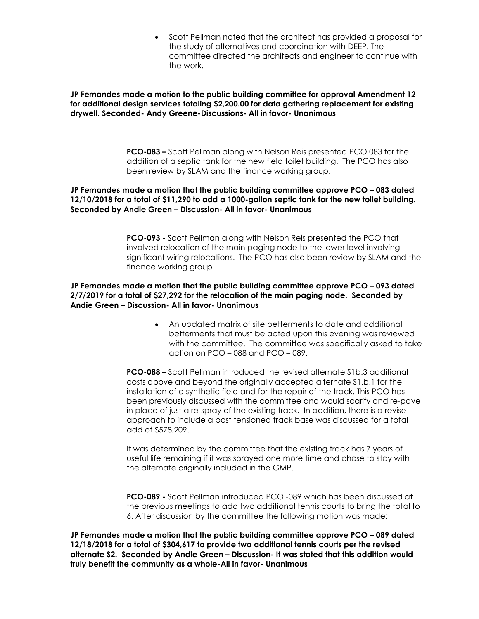• Scott Pellman noted that the architect has provided a proposal for the study of alternatives and coordination with DEEP. The committee directed the architects and engineer to continue with the work.

**JP Fernandes made a motion to the public building committee for approval Amendment 12 for additional design services totaling \$2,200.00 for data gathering replacement for existing drywell. Seconded- Andy Greene-Discussions- All in favor- Unanimous**

> **PCO-083 –** Scott Pellman along with Nelson Reis presented PCO 083 for the addition of a septic tank for the new field toilet building. The PCO has also been review by SLAM and the finance working group.

### **JP Fernandes made a motion that the public building committee approve PCO – 083 dated 12/10/2018 for a total of \$11,290 to add a 1000-gallon septic tank for the new toilet building. Seconded by Andie Green – Discussion- All in favor- Unanimous**

**PCO-093 -** Scott Pellman along with Nelson Reis presented the PCO that involved relocation of the main paging node to the lower level involving significant wiring relocations. The PCO has also been review by SLAM and the finance working group

**JP Fernandes made a motion that the public building committee approve PCO – 093 dated 2/7/2019 for a total of \$27,292 for the relocation of the main paging node. Seconded by Andie Green – Discussion- All in favor- Unanimous**

> • An updated matrix of site betterments to date and additional betterments that must be acted upon this evening was reviewed with the committee. The committee was specifically asked to take action on PCO – 088 and PCO – 089.

**PCO-088 –** Scott Pellman introduced the revised alternate S1b.3 additional costs above and beyond the originally accepted alternate S1.b.1 for the installation of a synthetic field and for the repair of the track. This PCO has been previously discussed with the committee and would scarify and re-pave in place of just a re-spray of the existing track. In addition, there is a revise approach to include a post tensioned track base was discussed for a total add of \$578,209.

It was determined by the committee that the existing track has 7 years of useful life remaining if it was sprayed one more time and chose to stay with the alternate originally included in the GMP.

**PCO-089 -** Scott Pellman introduced PCO -089 which has been discussed at the previous meetings to add two additional tennis courts to bring the total to 6. After discussion by the committee the following motion was made:

**JP Fernandes made a motion that the public building committee approve PCO – 089 dated 12/18/2018 for a total of \$304,617 to provide two additional tennis courts per the revised alternate S2. Seconded by Andie Green – Discussion- It was stated that this addition would truly benefit the community as a whole-All in favor- Unanimous**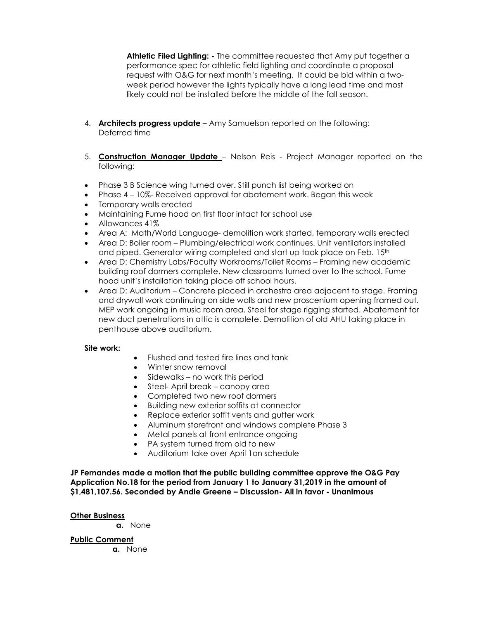**Athletic Filed Lighting: -** The committee requested that Amy put together a performance spec for athletic field lighting and coordinate a proposal request with O&G for next month's meeting. It could be bid within a twoweek period however the lights typically have a long lead time and most likely could not be installed before the middle of the fall season.

- 4. **Architects progress update** Amy Samuelson reported on the following: Deferred time
- 5. **Construction Manager Update** Nelson Reis Project Manager reported on the following:
- Phase 3 B Science wing turned over. Still punch list being worked on
- Phase 4 10%- Received approval for abatement work. Began this week
- Temporary walls erected
- Maintaining Fume hood on first floor intact for school use
- Allowances 41%
- Area A: Math/World Language- demolition work started, temporary walls erected
- Area D: Boiler room Plumbing/electrical work continues. Unit ventilators installed and piped. Generator wiring completed and start up took place on Feb. 15<sup>th</sup>
- Area D: Chemistry Labs/Faculty Workrooms/Toilet Rooms Framing new academic building roof dormers complete. New classrooms turned over to the school. Fume hood unit's installation taking place off school hours.
- Area D: Auditorium Concrete placed in orchestra area adjacent to stage. Framing and drywall work continuing on side walls and new proscenium opening framed out. MEP work ongoing in music room area. Steel for stage rigging started. Abatement for new duct penetrations in attic is complete. Demolition of old AHU taking place in penthouse above auditorium.

### **Site work:**

- Flushed and tested fire lines and tank
- Winter snow removal
- Sidewalks no work this period
- Steel- April break canopy area
- Completed two new roof dormers
- Building new exterior soffits at connector
- Replace exterior soffit vents and gutter work
- Aluminum storefront and windows complete Phase 3
- Metal panels at front entrance ongoing
- PA system turned from old to new
- Auditorium take over April 1on schedule

**JP Fernandes made a motion that the public building committee approve the O&G Pay Application No.18 for the period from January 1 to January 31,2019 in the amount of \$1,481,107.56. Seconded by Andie Greene – Discussion- All in favor - Unanimous**

### **Other Business**

**a.** None

### **Public Comment**

**a.** None